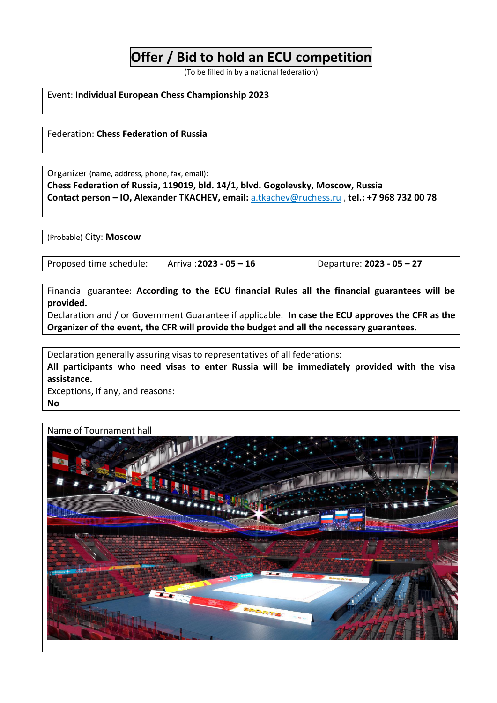## **Offer / Bid to hold an ECU competition**

(To be filled in by a national federation)

Event: **Individual European Chess Championship 2023**

Federation: **Chess Federation of Russia**

Organizer (name, address, phone, fax, email):

**Chess Federation of Russia, 119019, bld. 14/1, blvd. Gogolevsky, Moscow, Russia Contact person – IO, Alexander TKACHEV, email:** [a.tkachev@ruchess.ru](mailto:a.tkachev@ruchess.ru) , **tel.: +7 968 732 00 78**

(Probable) City: **Moscow**

Proposed time schedule: Arrival:**2023 - 05 – 16** Departure: **2023 - 05 – 27**

Financial guarantee: **According to the ECU financial Rules all the financial guarantees will be provided.**

Declaration and / or Government Guarantee if applicable. **In case the ECU approves the CFR as the Organizer of the event, the CFR will provide the budget and all the necessary guarantees.**

Declaration generally assuring visas to representatives of all federations:

**All participants who need visas to enter Russia will be immediately provided with the visa assistance.**

Exceptions, if any, and reasons: **No**

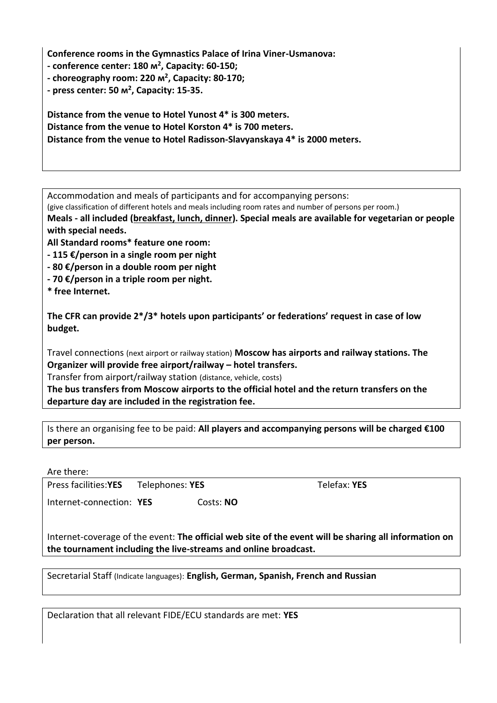**Conference rooms in the Gymnastics Palace of Irina Viner-Usmanova:**

**- conference center: 180 м<sup>2</sup> , Capacity: 60-150;**

**- choreography room: 220 м<sup>2</sup> , Capacity: 80-170;**

**- press center: 50 м<sup>2</sup> , Capacity: 15-35.**

**Distance from the venue to Hotel Yunost 4\* is 300 meters. Distance from the venue to Hotel Korston 4\* is 700 meters. Distance from the venue to Hotel Radisson-Slavyanskaya 4\* is 2000 meters.**

Accommodation and meals of participants and for accompanying persons:

(give classification of different hotels and meals including room rates and number of persons per room.)

**Meals - all included (breakfast, lunch, dinner). Special meals are available for vegetarian or people with special needs.**

**All Standard rooms\* feature one room:**

**- 115 €/person in a single room per night**

**- 80 €/person in a double room per night**

**- 70 €/person in a triple room per night.**

**\* free Internet.**

**The CFR can provide 2\*/3\* hotels upon participants' or federations' request in case of low budget.**

Travel connections (next airport or railway station) **Moscow has airports and railway stations. The Organizer will provide free airport/railway – hotel transfers.**

Transfer from airport/railway station (distance, vehicle, costs)

**The bus transfers from Moscow airports to the official hotel and the return transfers on the departure day are included in the registration fee.**

Is there an organising fee to be paid: **All players and accompanying persons will be charged €100 per person.**

Are there:

Press facilities:**YES** Telephones: **YES** Telefax: **YES**

Internet-connection: **YES** Costs: NO

Internet-coverage of the event: **The official web site of the event will be sharing all information on**

Secretarial Staff (Indicate languages): **English, German, Spanish, French and Russian**

Declaration that all relevant FIDE/ECU standards are met: **YES**

**the tournament including the live-streams and online broadcast.**